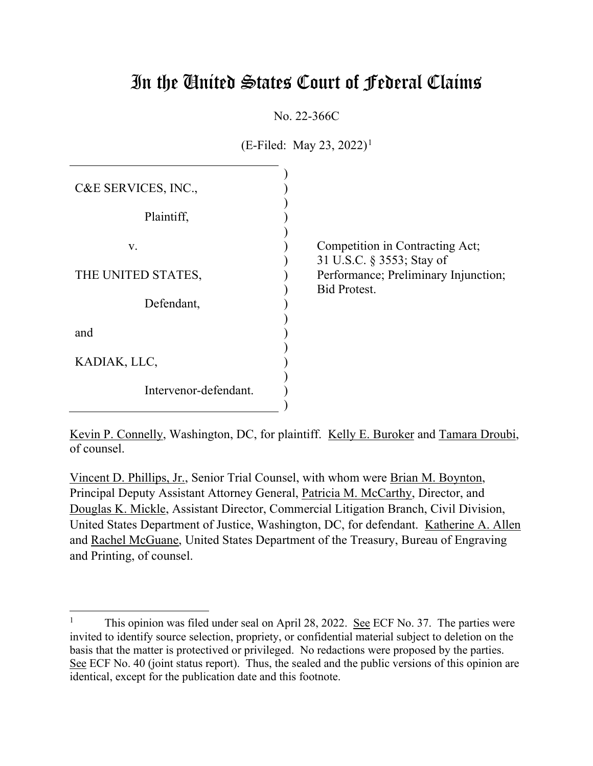# In the United States Court of Federal Claims

No. 22-366C

 $(E\text{-Filed: May } 23, 2022)^1$ 

| C&E SERVICES, INC.,   |                                                              |
|-----------------------|--------------------------------------------------------------|
| Plaintiff,            |                                                              |
| V.                    | Competition in Contracting Act;<br>31 U.S.C. § 3553; Stay of |
| THE UNITED STATES,    | Performance; Preliminary Injunction;<br><b>Bid Protest.</b>  |
| Defendant,            |                                                              |
| and                   |                                                              |
| KADIAK, LLC,          |                                                              |
| Intervenor-defendant. |                                                              |

Kevin P. Connelly, Washington, DC, for plaintiff. Kelly E. Buroker and Tamara Droubi, of counsel.

Vincent D. Phillips, Jr., Senior Trial Counsel, with whom were Brian M. Boynton, Principal Deputy Assistant Attorney General, Patricia M. McCarthy, Director, and Douglas K. Mickle, Assistant Director, Commercial Litigation Branch, Civil Division, United States Department of Justice, Washington, DC, for defendant. Katherine A. Allen and Rachel McGuane, United States Department of the Treasury, Bureau of Engraving and Printing, of counsel.

<sup>&</sup>lt;sup>1</sup> This opinion was filed under seal on April 28, 2022. <u>See</u> ECF No. 37. The parties were invited to identify source selection, propriety, or confidential material subject to deletion on the basis that the matter is protectived or privileged. No redactions were proposed by the parties. See ECF No. 40 (joint status report). Thus, the sealed and the public versions of this opinion are identical, except for the publication date and this footnote.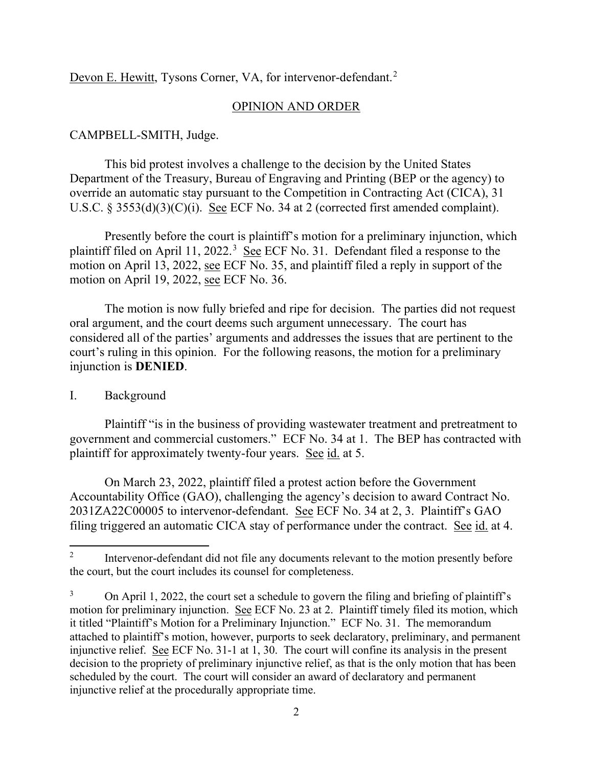Devon E. Hewitt, Tysons Corner, VA, for intervenor-defendant.<sup>2</sup>

#### OPINION AND ORDER

#### CAMPBELL-SMITH, Judge.

This bid protest involves a challenge to the decision by the United States Department of the Treasury, Bureau of Engraving and Printing (BEP or the agency) to override an automatic stay pursuant to the Competition in Contracting Act (CICA), 31 U.S.C. § 3553(d)(3)(C)(i). See ECF No. 34 at 2 (corrected first amended complaint).

Presently before the court is plaintiff's motion for a preliminary injunction, which plaintiff filed on April 11, 2022.<sup>3</sup> See ECF No. 31. Defendant filed a response to the motion on April 13, 2022, see ECF No. 35, and plaintiff filed a reply in support of the motion on April 19, 2022, see ECF No. 36.

The motion is now fully briefed and ripe for decision. The parties did not request oral argument, and the court deems such argument unnecessary. The court has considered all of the parties' arguments and addresses the issues that are pertinent to the court's ruling in this opinion. For the following reasons, the motion for a preliminary injunction is **DENIED**.

#### I. Background

Plaintiff "is in the business of providing wastewater treatment and pretreatment to government and commercial customers." ECF No. 34 at 1. The BEP has contracted with plaintiff for approximately twenty-four years. See id. at 5.

On March 23, 2022, plaintiff filed a protest action before the Government Accountability Office (GAO), challenging the agency's decision to award Contract No. 2031ZA22C00005 to intervenor-defendant. See ECF No. 34 at 2, 3. Plaintiff's GAO filing triggered an automatic CICA stay of performance under the contract. See id. at 4.

<sup>&</sup>lt;sup>2</sup> Intervenor-defendant did not file any documents relevant to the motion presently before the court, but the court includes its counsel for completeness.

 $3$  On April 1, 2022, the court set a schedule to govern the filing and briefing of plaintiff's motion for preliminary injunction. See ECF No. 23 at 2. Plaintiff timely filed its motion, which it titled "Plaintiff's Motion for a Preliminary Injunction." ECF No. 31. The memorandum attached to plaintiff's motion, however, purports to seek declaratory, preliminary, and permanent injunctive relief. See ECF No. 31-1 at 1, 30. The court will confine its analysis in the present decision to the propriety of preliminary injunctive relief, as that is the only motion that has been scheduled by the court. The court will consider an award of declaratory and permanent injunctive relief at the procedurally appropriate time.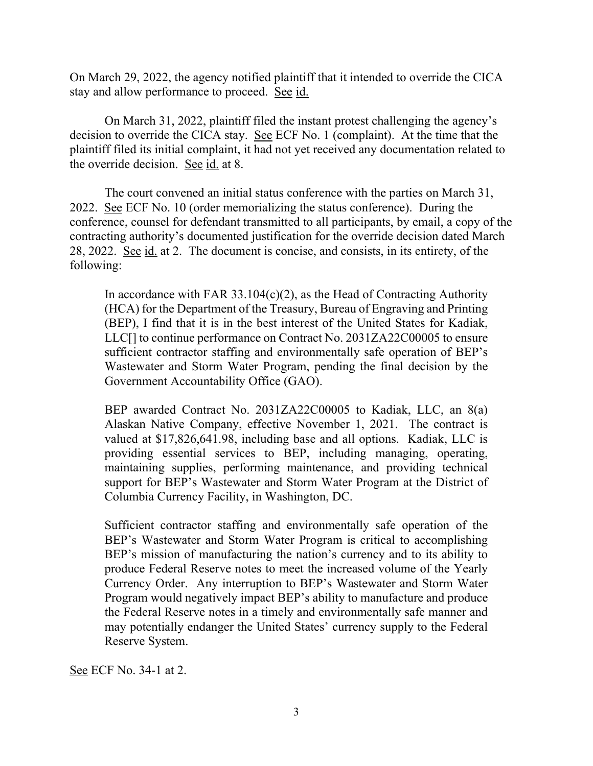On March 29, 2022, the agency notified plaintiff that it intended to override the CICA stay and allow performance to proceed. See id.

On March 31, 2022, plaintiff filed the instant protest challenging the agency's decision to override the CICA stay. See ECF No. 1 (complaint). At the time that the plaintiff filed its initial complaint, it had not yet received any documentation related to the override decision. See id. at 8.

The court convened an initial status conference with the parties on March 31, 2022. See ECF No. 10 (order memorializing the status conference). During the conference, counsel for defendant transmitted to all participants, by email, a copy of the contracting authority's documented justification for the override decision dated March 28, 2022. See id. at 2. The document is concise, and consists, in its entirety, of the following:

In accordance with FAR  $33.104(c)(2)$ , as the Head of Contracting Authority (HCA) for the Department of the Treasury, Bureau of Engraving and Printing (BEP), I find that it is in the best interest of the United States for Kadiak, LLC[] to continue performance on Contract No. 2031ZA22C00005 to ensure sufficient contractor staffing and environmentally safe operation of BEP's Wastewater and Storm Water Program, pending the final decision by the Government Accountability Office (GAO).

BEP awarded Contract No. 2031ZA22C00005 to Kadiak, LLC, an 8(a) Alaskan Native Company, effective November 1, 2021. The contract is valued at \$17,826,641.98, including base and all options. Kadiak, LLC is providing essential services to BEP, including managing, operating, maintaining supplies, performing maintenance, and providing technical support for BEP's Wastewater and Storm Water Program at the District of Columbia Currency Facility, in Washington, DC.

Sufficient contractor staffing and environmentally safe operation of the BEP's Wastewater and Storm Water Program is critical to accomplishing BEP's mission of manufacturing the nation's currency and to its ability to produce Federal Reserve notes to meet the increased volume of the Yearly Currency Order. Any interruption to BEP's Wastewater and Storm Water Program would negatively impact BEP's ability to manufacture and produce the Federal Reserve notes in a timely and environmentally safe manner and may potentially endanger the United States' currency supply to the Federal Reserve System.

See ECF No. 34-1 at 2.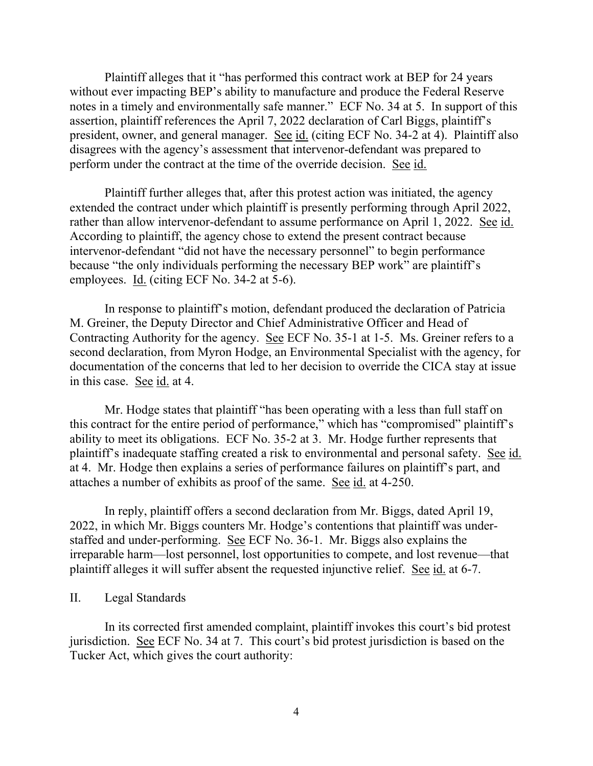Plaintiff alleges that it "has performed this contract work at BEP for 24 years without ever impacting BEP's ability to manufacture and produce the Federal Reserve notes in a timely and environmentally safe manner." ECF No. 34 at 5. In support of this assertion, plaintiff references the April 7, 2022 declaration of Carl Biggs, plaintiff's president, owner, and general manager. See id. (citing ECF No. 34-2 at 4). Plaintiff also disagrees with the agency's assessment that intervenor-defendant was prepared to perform under the contract at the time of the override decision. See id.

Plaintiff further alleges that, after this protest action was initiated, the agency extended the contract under which plaintiff is presently performing through April 2022, rather than allow intervenor-defendant to assume performance on April 1, 2022. See id. According to plaintiff, the agency chose to extend the present contract because intervenor-defendant "did not have the necessary personnel" to begin performance because "the only individuals performing the necessary BEP work" are plaintiff's employees. Id. (citing ECF No. 34-2 at 5-6).

In response to plaintiff's motion, defendant produced the declaration of Patricia M. Greiner, the Deputy Director and Chief Administrative Officer and Head of Contracting Authority for the agency. See ECF No. 35-1 at 1-5. Ms. Greiner refers to a second declaration, from Myron Hodge, an Environmental Specialist with the agency, for documentation of the concerns that led to her decision to override the CICA stay at issue in this case. See id. at 4.

Mr. Hodge states that plaintiff "has been operating with a less than full staff on this contract for the entire period of performance," which has "compromised" plaintiff's ability to meet its obligations. ECF No. 35-2 at 3. Mr. Hodge further represents that plaintiff's inadequate staffing created a risk to environmental and personal safety. See id. at 4. Mr. Hodge then explains a series of performance failures on plaintiff's part, and attaches a number of exhibits as proof of the same. See id. at 4-250.

In reply, plaintiff offers a second declaration from Mr. Biggs, dated April 19, 2022, in which Mr. Biggs counters Mr. Hodge's contentions that plaintiff was understaffed and under-performing. See ECF No. 36-1. Mr. Biggs also explains the irreparable harm—lost personnel, lost opportunities to compete, and lost revenue—that plaintiff alleges it will suffer absent the requested injunctive relief. See id. at 6-7.

#### II. Legal Standards

In its corrected first amended complaint, plaintiff invokes this court's bid protest jurisdiction. See ECF No. 34 at 7. This court's bid protest jurisdiction is based on the Tucker Act, which gives the court authority: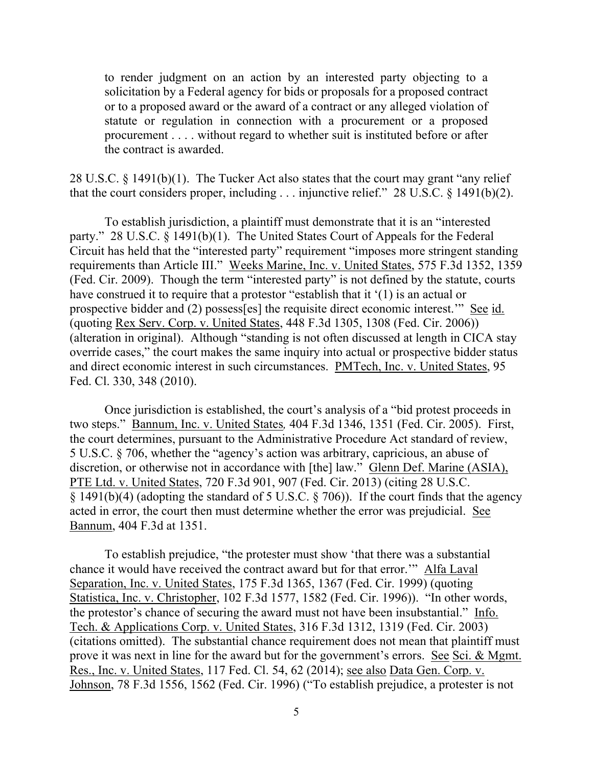to render judgment on an action by an interested party objecting to a solicitation by a Federal agency for bids or proposals for a proposed contract or to a proposed award or the award of a contract or any alleged violation of statute or regulation in connection with a procurement or a proposed procurement . . . . without regard to whether suit is instituted before or after the contract is awarded.

28 U.S.C. § 1491(b)(1). The Tucker Act also states that the court may grant "any relief that the court considers proper, including  $\ldots$  injunctive relief." 28 U.S.C. § 1491(b)(2).

To establish jurisdiction, a plaintiff must demonstrate that it is an "interested party." 28 U.S.C. § 1491(b)(1). The United States Court of Appeals for the Federal Circuit has held that the "interested party" requirement "imposes more stringent standing requirements than Article III." Weeks Marine, Inc. v. United States, 575 F.3d 1352, 1359 (Fed. Cir. 2009). Though the term "interested party" is not defined by the statute, courts have construed it to require that a protestor "establish that it '(1) is an actual or prospective bidder and (2) possess[es] the requisite direct economic interest.'" See id. (quoting Rex Serv. Corp. v. United States, 448 F.3d 1305, 1308 (Fed. Cir. 2006)) (alteration in original). Although "standing is not often discussed at length in CICA stay override cases," the court makes the same inquiry into actual or prospective bidder status and direct economic interest in such circumstances. PMTech, Inc. v. United States, 95 Fed. Cl. 330, 348 (2010).

Once jurisdiction is established, the court's analysis of a "bid protest proceeds in two steps." Bannum, Inc. v. United States*,* 404 F.3d 1346, 1351 (Fed. Cir. 2005). First, the court determines, pursuant to the Administrative Procedure Act standard of review, 5 U.S.C. § 706, whether the "agency's action was arbitrary, capricious, an abuse of discretion, or otherwise not in accordance with [the] law." Glenn Def. Marine (ASIA), PTE Ltd. v. United States, 720 F.3d 901, 907 (Fed. Cir. 2013) (citing 28 U.S.C. § 1491(b)(4) (adopting the standard of 5 U.S.C. § 706)). If the court finds that the agency acted in error, the court then must determine whether the error was prejudicial. See Bannum, 404 F.3d at 1351.

To establish prejudice, "the protester must show 'that there was a substantial chance it would have received the contract award but for that error.'" Alfa Laval Separation, Inc. v. United States, 175 F.3d 1365, 1367 (Fed. Cir. 1999) (quoting Statistica, Inc. v. Christopher, 102 F.3d 1577, 1582 (Fed. Cir. 1996)). "In other words, the protestor's chance of securing the award must not have been insubstantial." Info. Tech. & Applications Corp. v. United States, 316 F.3d 1312, 1319 (Fed. Cir. 2003) (citations omitted). The substantial chance requirement does not mean that plaintiff must prove it was next in line for the award but for the government's errors. See Sci. & Mgmt. Res., Inc. v. United States, 117 Fed. Cl. 54, 62 (2014); see also Data Gen. Corp. v. Johnson, 78 F.3d 1556, 1562 (Fed. Cir. 1996) ("To establish prejudice, a protester is not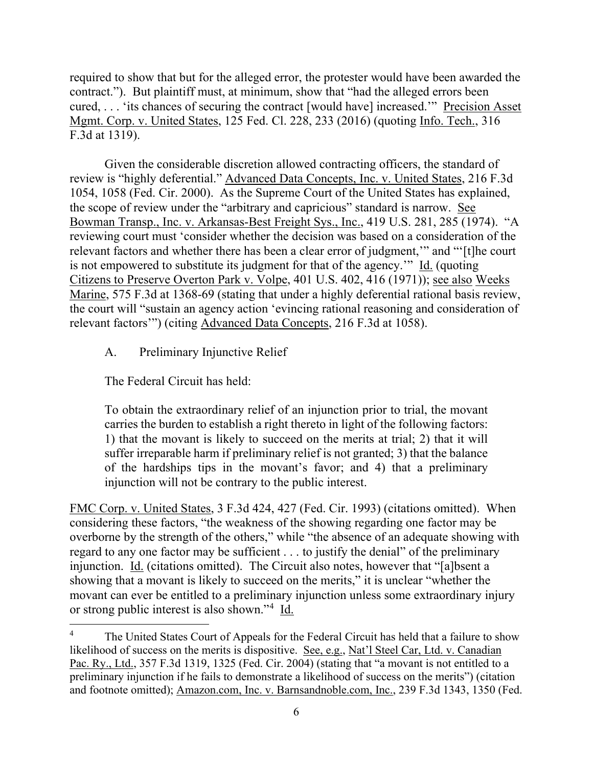required to show that but for the alleged error, the protester would have been awarded the contract."). But plaintiff must, at minimum, show that "had the alleged errors been cured, . . . 'its chances of securing the contract [would have] increased.'" Precision Asset Mgmt. Corp. v. United States, 125 Fed. Cl. 228, 233 (2016) (quoting Info. Tech., 316 F.3d at 1319).

Given the considerable discretion allowed contracting officers, the standard of review is "highly deferential." Advanced Data Concepts, Inc. v. United States, 216 F.3d 1054, 1058 (Fed. Cir. 2000). As the Supreme Court of the United States has explained, the scope of review under the "arbitrary and capricious" standard is narrow. See Bowman Transp., Inc. v. Arkansas-Best Freight Sys., Inc., 419 U.S. 281, 285 (1974). "A reviewing court must 'consider whether the decision was based on a consideration of the relevant factors and whether there has been a clear error of judgment,'" and "'[t]he court is not empowered to substitute its judgment for that of the agency.'" Id. (quoting Citizens to Preserve Overton Park v. Volpe, 401 U.S. 402, 416 (1971)); see also Weeks Marine, 575 F.3d at 1368-69 (stating that under a highly deferential rational basis review, the court will "sustain an agency action 'evincing rational reasoning and consideration of relevant factors'") (citing Advanced Data Concepts, 216 F.3d at 1058).

A. Preliminary Injunctive Relief

The Federal Circuit has held:

To obtain the extraordinary relief of an injunction prior to trial, the movant carries the burden to establish a right thereto in light of the following factors: 1) that the movant is likely to succeed on the merits at trial; 2) that it will suffer irreparable harm if preliminary relief is not granted; 3) that the balance of the hardships tips in the movant's favor; and 4) that a preliminary injunction will not be contrary to the public interest.

FMC Corp. v. United States, 3 F.3d 424, 427 (Fed. Cir. 1993) (citations omitted). When considering these factors, "the weakness of the showing regarding one factor may be overborne by the strength of the others," while "the absence of an adequate showing with regard to any one factor may be sufficient . . . to justify the denial" of the preliminary injunction. Id. (citations omitted). The Circuit also notes, however that "[a]bsent a showing that a movant is likely to succeed on the merits," it is unclear "whether the movant can ever be entitled to a preliminary injunction unless some extraordinary injury or strong public interest is also shown."<sup>4</sup> Id.

<sup>&</sup>lt;sup>4</sup> The United States Court of Appeals for the Federal Circuit has held that a failure to show likelihood of success on the merits is dispositive. See, e.g., Nat'l Steel Car, Ltd. v. Canadian Pac. Ry., Ltd., 357 F.3d 1319, 1325 (Fed. Cir. 2004) (stating that "a movant is not entitled to a preliminary injunction if he fails to demonstrate a likelihood of success on the merits") (citation and footnote omitted); Amazon.com, Inc. v. Barnsandnoble.com, Inc., 239 F.3d 1343, 1350 (Fed.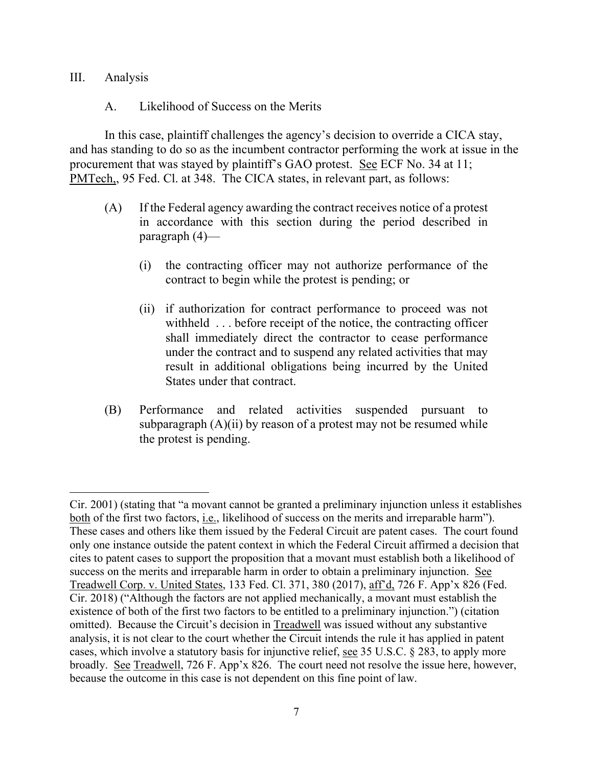#### III. Analysis

#### A. Likelihood of Success on the Merits

In this case, plaintiff challenges the agency's decision to override a CICA stay, and has standing to do so as the incumbent contractor performing the work at issue in the procurement that was stayed by plaintiff's GAO protest. See ECF No. 34 at 11; PMTech,, 95 Fed. Cl. at 348. The CICA states, in relevant part, as follows:

- (A) If the Federal agency awarding the contract receives notice of a protest in accordance with this section during the period described in paragraph (4)—
	- (i) the contracting officer may not authorize performance of the contract to begin while the protest is pending; or
	- (ii) if authorization for contract performance to proceed was not withheld . . . before receipt of the notice, the contracting officer shall immediately direct the contractor to cease performance under the contract and to suspend any related activities that may result in additional obligations being incurred by the United States under that contract.
- (B) Performance and related activities suspended pursuant to subparagraph  $(A)(ii)$  by reason of a protest may not be resumed while the protest is pending.

Cir. 2001) (stating that "a movant cannot be granted a preliminary injunction unless it establishes both of the first two factors, i.e., likelihood of success on the merits and irreparable harm"). These cases and others like them issued by the Federal Circuit are patent cases. The court found only one instance outside the patent context in which the Federal Circuit affirmed a decision that cites to patent cases to support the proposition that a movant must establish both a likelihood of success on the merits and irreparable harm in order to obtain a preliminary injunction. See Treadwell Corp. v. United States, 133 Fed. Cl. 371, 380 (2017), aff'd, 726 F. App'x 826 (Fed. Cir. 2018) ("Although the factors are not applied mechanically, a movant must establish the existence of both of the first two factors to be entitled to a preliminary injunction.") (citation omitted). Because the Circuit's decision in Treadwell was issued without any substantive analysis, it is not clear to the court whether the Circuit intends the rule it has applied in patent cases, which involve a statutory basis for injunctive relief, see 35 U.S.C. § 283, to apply more broadly. See Treadwell, 726 F. App'x 826. The court need not resolve the issue here, however, because the outcome in this case is not dependent on this fine point of law.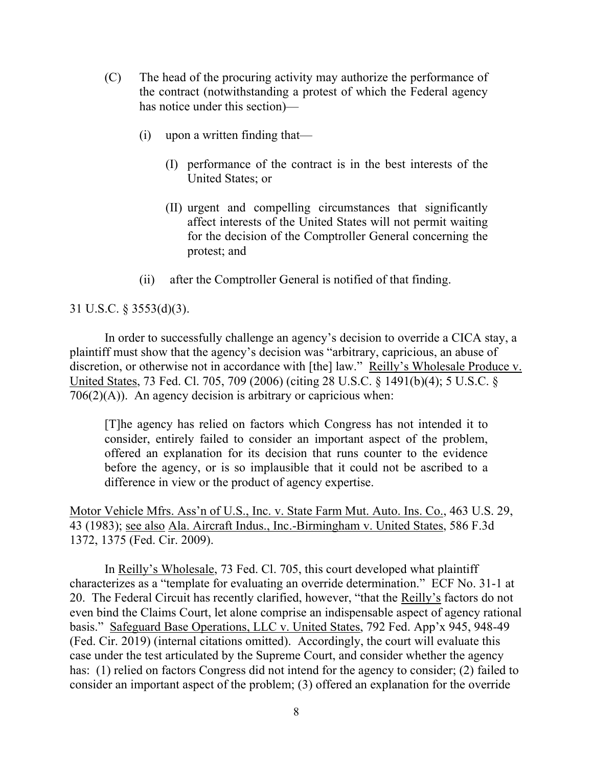- (C) The head of the procuring activity may authorize the performance of the contract (notwithstanding a protest of which the Federal agency has notice under this section)—
	- (i) upon a written finding that—
		- (I) performance of the contract is in the best interests of the United States; or
		- (II) urgent and compelling circumstances that significantly affect interests of the United States will not permit waiting for the decision of the Comptroller General concerning the protest; and
	- (ii) after the Comptroller General is notified of that finding.

## 31 U.S.C. § 3553(d)(3).

In order to successfully challenge an agency's decision to override a CICA stay, a plaintiff must show that the agency's decision was "arbitrary, capricious, an abuse of discretion, or otherwise not in accordance with [the] law." Reilly's Wholesale Produce v. United States, 73 Fed. Cl. 705, 709 (2006) (citing 28 U.S.C. § 1491(b)(4); 5 U.S.C. §  $706(2)(A)$ ). An agency decision is arbitrary or capricious when:

[T]he agency has relied on factors which Congress has not intended it to consider, entirely failed to consider an important aspect of the problem, offered an explanation for its decision that runs counter to the evidence before the agency, or is so implausible that it could not be ascribed to a difference in view or the product of agency expertise.

Motor Vehicle Mfrs. Ass'n of U.S., Inc. v. State Farm Mut. Auto. Ins. Co., 463 U.S. 29, 43 (1983); see also Ala. Aircraft Indus., Inc.-Birmingham v. United States, 586 F.3d 1372, 1375 (Fed. Cir. 2009).

In Reilly's Wholesale, 73 Fed. Cl. 705, this court developed what plaintiff characterizes as a "template for evaluating an override determination." ECF No. 31-1 at 20. The Federal Circuit has recently clarified, however, "that the Reilly's factors do not even bind the Claims Court, let alone comprise an indispensable aspect of agency rational basis." Safeguard Base Operations, LLC v. United States, 792 Fed. App'x 945, 948-49 (Fed. Cir. 2019) (internal citations omitted). Accordingly, the court will evaluate this case under the test articulated by the Supreme Court, and consider whether the agency has: (1) relied on factors Congress did not intend for the agency to consider; (2) failed to consider an important aspect of the problem; (3) offered an explanation for the override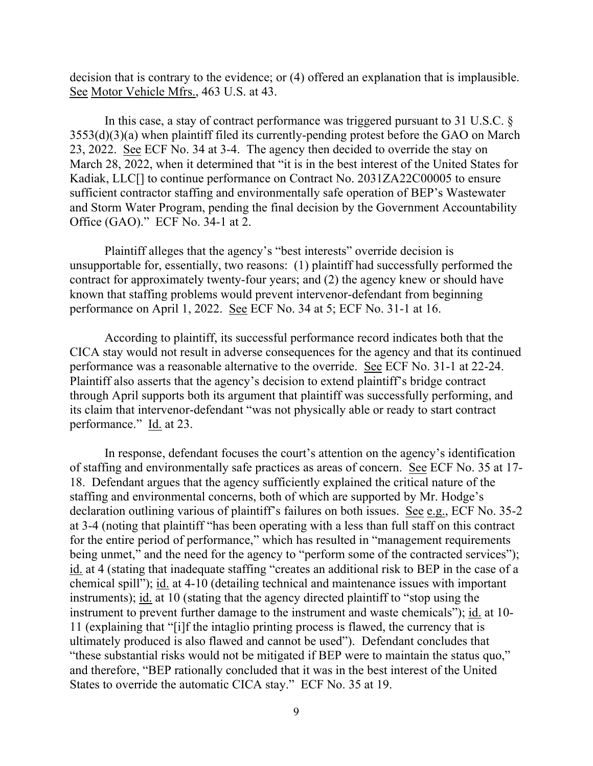decision that is contrary to the evidence; or (4) offered an explanation that is implausible. See Motor Vehicle Mfrs., 463 U.S. at 43.

In this case, a stay of contract performance was triggered pursuant to 31 U.S.C. § 3553(d)(3)(a) when plaintiff filed its currently-pending protest before the GAO on March 23, 2022. See ECF No. 34 at 3-4. The agency then decided to override the stay on March 28, 2022, when it determined that "it is in the best interest of the United States for Kadiak, LLC<sup>[]</sup> to continue performance on Contract No. 2031ZA22C00005 to ensure sufficient contractor staffing and environmentally safe operation of BEP's Wastewater and Storm Water Program, pending the final decision by the Government Accountability Office (GAO)." ECF No. 34-1 at 2.

Plaintiff alleges that the agency's "best interests" override decision is unsupportable for, essentially, two reasons: (1) plaintiff had successfully performed the contract for approximately twenty-four years; and (2) the agency knew or should have known that staffing problems would prevent intervenor-defendant from beginning performance on April 1, 2022. See ECF No. 34 at 5; ECF No. 31-1 at 16.

According to plaintiff, its successful performance record indicates both that the CICA stay would not result in adverse consequences for the agency and that its continued performance was a reasonable alternative to the override. See ECF No. 31-1 at 22-24. Plaintiff also asserts that the agency's decision to extend plaintiff's bridge contract through April supports both its argument that plaintiff was successfully performing, and its claim that intervenor-defendant "was not physically able or ready to start contract performance." Id. at 23.

In response, defendant focuses the court's attention on the agency's identification of staffing and environmentally safe practices as areas of concern. See ECF No. 35 at 17- 18. Defendant argues that the agency sufficiently explained the critical nature of the staffing and environmental concerns, both of which are supported by Mr. Hodge's declaration outlining various of plaintiff's failures on both issues. See e.g., ECF No. 35-2 at 3-4 (noting that plaintiff "has been operating with a less than full staff on this contract for the entire period of performance," which has resulted in "management requirements being unmet," and the need for the agency to "perform some of the contracted services"); id. at 4 (stating that inadequate staffing "creates an additional risk to BEP in the case of a chemical spill"); id. at 4-10 (detailing technical and maintenance issues with important instruments); id. at 10 (stating that the agency directed plaintiff to "stop using the instrument to prevent further damage to the instrument and waste chemicals"); id. at 10- 11 (explaining that "[i]f the intaglio printing process is flawed, the currency that is ultimately produced is also flawed and cannot be used"). Defendant concludes that "these substantial risks would not be mitigated if BEP were to maintain the status quo," and therefore, "BEP rationally concluded that it was in the best interest of the United States to override the automatic CICA stay." ECF No. 35 at 19.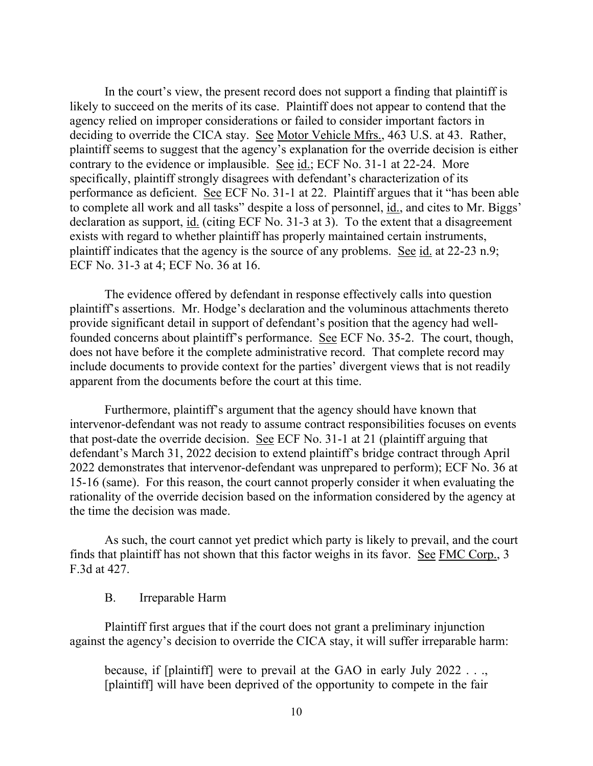In the court's view, the present record does not support a finding that plaintiff is likely to succeed on the merits of its case. Plaintiff does not appear to contend that the agency relied on improper considerations or failed to consider important factors in deciding to override the CICA stay. See Motor Vehicle Mfrs., 463 U.S. at 43. Rather, plaintiff seems to suggest that the agency's explanation for the override decision is either contrary to the evidence or implausible. See id.; ECF No. 31-1 at 22-24. More specifically, plaintiff strongly disagrees with defendant's characterization of its performance as deficient. See ECF No. 31-1 at 22. Plaintiff argues that it "has been able to complete all work and all tasks" despite a loss of personnel, id., and cites to Mr. Biggs' declaration as support, id. (citing ECF No. 31-3 at 3). To the extent that a disagreement exists with regard to whether plaintiff has properly maintained certain instruments, plaintiff indicates that the agency is the source of any problems. See id. at 22-23 n.9; ECF No. 31-3 at 4; ECF No. 36 at 16.

The evidence offered by defendant in response effectively calls into question plaintiff's assertions. Mr. Hodge's declaration and the voluminous attachments thereto provide significant detail in support of defendant's position that the agency had wellfounded concerns about plaintiff's performance. See ECF No. 35-2. The court, though, does not have before it the complete administrative record. That complete record may include documents to provide context for the parties' divergent views that is not readily apparent from the documents before the court at this time.

Furthermore, plaintiff's argument that the agency should have known that intervenor-defendant was not ready to assume contract responsibilities focuses on events that post-date the override decision. See ECF No. 31-1 at 21 (plaintiff arguing that defendant's March 31, 2022 decision to extend plaintiff's bridge contract through April 2022 demonstrates that intervenor-defendant was unprepared to perform); ECF No. 36 at 15-16 (same). For this reason, the court cannot properly consider it when evaluating the rationality of the override decision based on the information considered by the agency at the time the decision was made.

As such, the court cannot yet predict which party is likely to prevail, and the court finds that plaintiff has not shown that this factor weighs in its favor. See FMC Corp., 3 F.3d at 427.

#### B. Irreparable Harm

Plaintiff first argues that if the court does not grant a preliminary injunction against the agency's decision to override the CICA stay, it will suffer irreparable harm:

because, if [plaintiff] were to prevail at the GAO in early July 2022 . . ., [plaintiff] will have been deprived of the opportunity to compete in the fair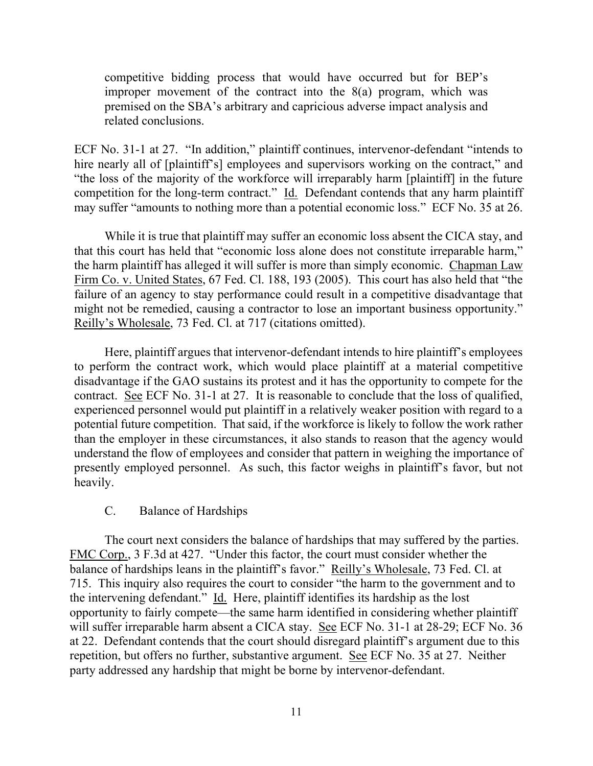competitive bidding process that would have occurred but for BEP's improper movement of the contract into the 8(a) program, which was premised on the SBA's arbitrary and capricious adverse impact analysis and related conclusions.

ECF No. 31-1 at 27. "In addition," plaintiff continues, intervenor-defendant "intends to hire nearly all of [plaintiff's] employees and supervisors working on the contract," and "the loss of the majority of the workforce will irreparably harm [plaintiff] in the future competition for the long-term contract." Id. Defendant contends that any harm plaintiff may suffer "amounts to nothing more than a potential economic loss." ECF No. 35 at 26.

While it is true that plaintiff may suffer an economic loss absent the CICA stay, and that this court has held that "economic loss alone does not constitute irreparable harm," the harm plaintiff has alleged it will suffer is more than simply economic. Chapman Law Firm Co. v. United States, 67 Fed. Cl. 188, 193 (2005). This court has also held that "the failure of an agency to stay performance could result in a competitive disadvantage that might not be remedied, causing a contractor to lose an important business opportunity." Reilly's Wholesale, 73 Fed. Cl. at 717 (citations omitted).

Here, plaintiff argues that intervenor-defendant intends to hire plaintiff's employees to perform the contract work, which would place plaintiff at a material competitive disadvantage if the GAO sustains its protest and it has the opportunity to compete for the contract. See ECF No. 31-1 at 27. It is reasonable to conclude that the loss of qualified, experienced personnel would put plaintiff in a relatively weaker position with regard to a potential future competition. That said, if the workforce is likely to follow the work rather than the employer in these circumstances, it also stands to reason that the agency would understand the flow of employees and consider that pattern in weighing the importance of presently employed personnel. As such, this factor weighs in plaintiff's favor, but not heavily.

## C. Balance of Hardships

The court next considers the balance of hardships that may suffered by the parties. FMC Corp., 3 F.3d at 427. "Under this factor, the court must consider whether the balance of hardships leans in the plaintiff's favor." Reilly's Wholesale, 73 Fed. Cl. at 715. This inquiry also requires the court to consider "the harm to the government and to the intervening defendant." Id. Here, plaintiff identifies its hardship as the lost opportunity to fairly compete—the same harm identified in considering whether plaintiff will suffer irreparable harm absent a CICA stay. See ECF No. 31-1 at 28-29; ECF No. 36 at 22. Defendant contends that the court should disregard plaintiff's argument due to this repetition, but offers no further, substantive argument. See ECF No. 35 at 27. Neither party addressed any hardship that might be borne by intervenor-defendant.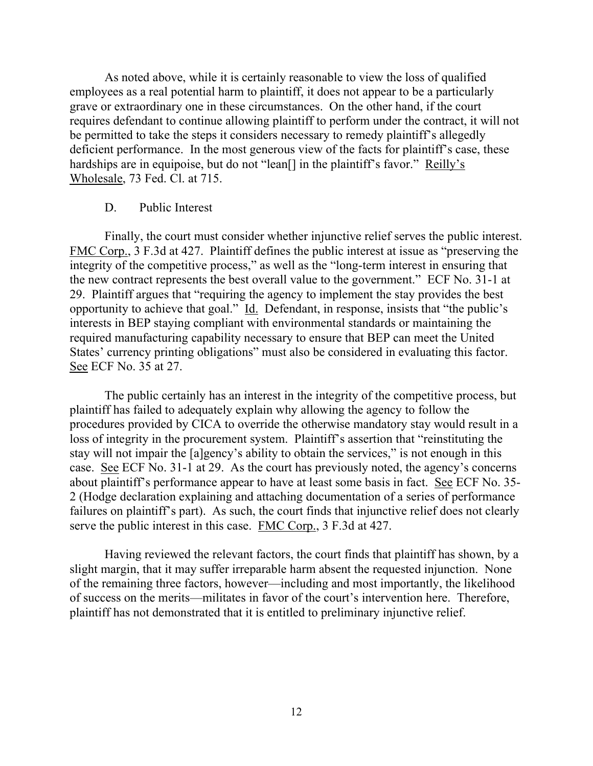As noted above, while it is certainly reasonable to view the loss of qualified employees as a real potential harm to plaintiff, it does not appear to be a particularly grave or extraordinary one in these circumstances. On the other hand, if the court requires defendant to continue allowing plaintiff to perform under the contract, it will not be permitted to take the steps it considers necessary to remedy plaintiff's allegedly deficient performance. In the most generous view of the facts for plaintiff's case, these hardships are in equipoise, but do not "lean<sup>[]</sup> in the plaintiff's favor." <u>Reilly's</u> Wholesale, 73 Fed. Cl. at 715.

#### D. Public Interest

Finally, the court must consider whether injunctive relief serves the public interest. FMC Corp., 3 F.3d at 427. Plaintiff defines the public interest at issue as "preserving the integrity of the competitive process," as well as the "long-term interest in ensuring that the new contract represents the best overall value to the government." ECF No. 31-1 at 29. Plaintiff argues that "requiring the agency to implement the stay provides the best opportunity to achieve that goal." Id. Defendant, in response, insists that "the public's interests in BEP staying compliant with environmental standards or maintaining the required manufacturing capability necessary to ensure that BEP can meet the United States' currency printing obligations" must also be considered in evaluating this factor. See ECF No. 35 at 27.

The public certainly has an interest in the integrity of the competitive process, but plaintiff has failed to adequately explain why allowing the agency to follow the procedures provided by CICA to override the otherwise mandatory stay would result in a loss of integrity in the procurement system. Plaintiff's assertion that "reinstituting the stay will not impair the [a]gency's ability to obtain the services," is not enough in this case. See ECF No. 31-1 at 29. As the court has previously noted, the agency's concerns about plaintiff's performance appear to have at least some basis in fact. See ECF No. 35- 2 (Hodge declaration explaining and attaching documentation of a series of performance failures on plaintiff's part). As such, the court finds that injunctive relief does not clearly serve the public interest in this case. FMC Corp., 3 F.3d at 427.

Having reviewed the relevant factors, the court finds that plaintiff has shown, by a slight margin, that it may suffer irreparable harm absent the requested injunction. None of the remaining three factors, however—including and most importantly, the likelihood of success on the merits—militates in favor of the court's intervention here. Therefore, plaintiff has not demonstrated that it is entitled to preliminary injunctive relief.